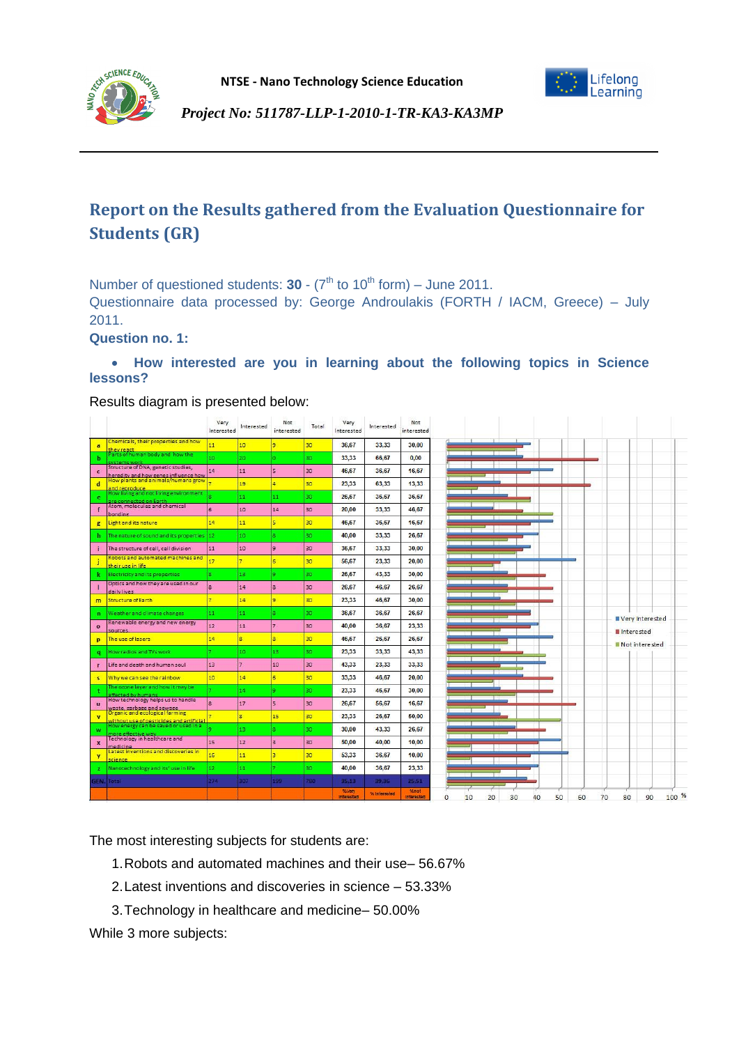

# **Report on the Results gathered from the Evaluation Questionnaire for Students (GR)**

Number of questioned students:  $30 - (7<sup>th</sup>$  to  $10<sup>th</sup>$  form) – June 2011.

Questionnaire data processed by: George Androulakis (FORTH / IACM, Greece) – July 2011.

**Question no. 1:**

SCIENCE EDUC

## **How interested are you in learning about the following topics in Science lessons?**

Results diagram is presented below:

|                    |                                                                                   | Very<br>Interested | Interested              | Not<br>interested | Total | Very<br>Interested | Interested   | Not<br>interested |
|--------------------|-----------------------------------------------------------------------------------|--------------------|-------------------------|-------------------|-------|--------------------|--------------|-------------------|
| a                  | Chemicals, their properties and how<br>they react                                 | 11                 | 10 <sup>10</sup>        |                   | 30    | 36.67              | 33.33        | 30.00             |
| ь                  | arts of human body and how the<br>vstams wor                                      | 10                 | 20                      | n.                | 30    | 33,33              | 66,67        | 0,00              |
| $\mathbf{c}$       | Structure of DNA, genetic studies,<br>heredity and how genes influence how        | 14                 | 11                      | ls.               | 30    | 46,67              | 36,67        | 16,67             |
| $\mathbf d$        | low plants and animals/humans grow<br>and reproduce                               |                    | 19                      | ā.                | 30    | 23,33              | 63.33        | 13.33             |
| e                  | low living and not living environment<br>re connected on Earth                    |                    | 11                      | 11                | 30    | 26.67              | 36,67        | 36,67             |
|                    | Atom, molecules and chemical                                                      | F                  | 10 <sup>10</sup>        | 14                | 30    | 20,00              | 33,33        | 46,67             |
| $\overline{g}$     | bonding<br>Light and its nature                                                   | 14                 | 11                      | s.                | 30    | 46,67              | 36,67        | 16,67             |
| h.                 | The nature of sound and its properties 12                                         |                    | 10                      | ×                 | 30    | 40.00              | 33,33        | 26.67             |
|                    | The structure of cell, cell division                                              | 11                 | 10                      | g.                | 30    | 36,67              | 33,33        | 30,00             |
|                    | Robots and automated machines and                                                 | 17                 |                         | 6                 | 30    | 56,67              | 23,33        | 20.00             |
|                    | their use in life<br>Electricity and its properties                               | R.                 | 13                      | ۰                 | 30    | 26,67              | 43,33        | 30,00             |
|                    | Optics and how they are used in our                                               | $\mathbf{g}$       | 14                      | ls.               | 30    | 26,67              | 46,67        | 26,67             |
| m                  | daily lives<br><b>Structure of Earth</b>                                          | ÷,                 | 14                      | q.                | 30    | 23,33              | 46,67        | 30.00             |
|                    | Weather and climate changes                                                       | 11                 | 11                      |                   | 30    | 36,67              | 36,67        | 26,67             |
| $\mathbf n$        | Renewable energy and new energy                                                   | 12 <sup>2</sup>    |                         |                   | 30    |                    |              |                   |
| $\circ$            | sources                                                                           |                    | 11                      |                   |       | 40,00              | 36,67        | 23,33             |
| p                  | The use of lasers                                                                 | 14                 | $\overline{\mathbf{8}}$ | g.                | 30    | 46.67              | 26.67        | 26.67             |
| q                  | low radios and TVs work                                                           |                    | 10 <sup>°</sup>         | 13                | 30    | 23,33              | 33,33        | 43,33             |
| г                  | Life and death and human soul                                                     | 13                 |                         | 10                | 30    | 43,33              | 23,33        | 33,33             |
| $\mathsf{s}$       | Why we can see the rainbow                                                        | 10 <sup>°</sup>    | 14                      | $\overline{6}$    | 30    | 33,33              | 46,67        | 20,00             |
|                    | The ozone layer and how it may be<br>ffected by human                             |                    | 14                      | a                 | 30    | 23,33              | 46,67        | 30,00             |
| $\mathbf{u}$       | How technology helps us to handle<br>waste, garbage and sewage                    |                    | 17                      | ls.               | 30    | 26,67              | 56,67        | 16,67             |
| $\mathbf{v}$       | <u>Drganic and ecological farming</u><br>without use of pesticides and artificial |                    | 8                       | 15                | 30    | 23,33              | 26,67        | 50,00             |
| w                  | low energy can be saved or used in a<br>ore effective way                         |                    | 13                      |                   | 30    | 30,00              | 43,33        | 26,67             |
| $\pmb{\mathsf{x}}$ | Technology in healthcare and<br>medicine                                          | 15                 | 12                      | в                 | 30    | 50,00              | 40,00        | 10,00             |
| Y                  | Latest inventions and discoveries in<br>science                                   | 16 <sup>2</sup>    | 11                      | $\overline{3}$    | 30    | 53,33              | 36,67        | 10,00             |
|                    | Nanotechnology and its' use in life                                               | 12 <sup>°</sup>    | 11                      |                   | 30    | 40,00              | 36,67        | 23,33             |
|                    | <b>GEN. Total</b>                                                                 | 274                | 307                     | 199               | 780   | 35,13              | 39,36        | 25,51             |
|                    |                                                                                   |                    |                         |                   |       | %Very              | % Interested | %not              |
|                    |                                                                                   |                    |                         |                   |       | Interested         |              | <b>Interested</b> |

The most interesting subjects for students are:

- 1.Robots and automated machines and their use– 56.67%
- 2.Latest inventions and discoveries in science 53.33%
- 3.Technology in healthcare and medicine– 50.00%

While 3 more subjects: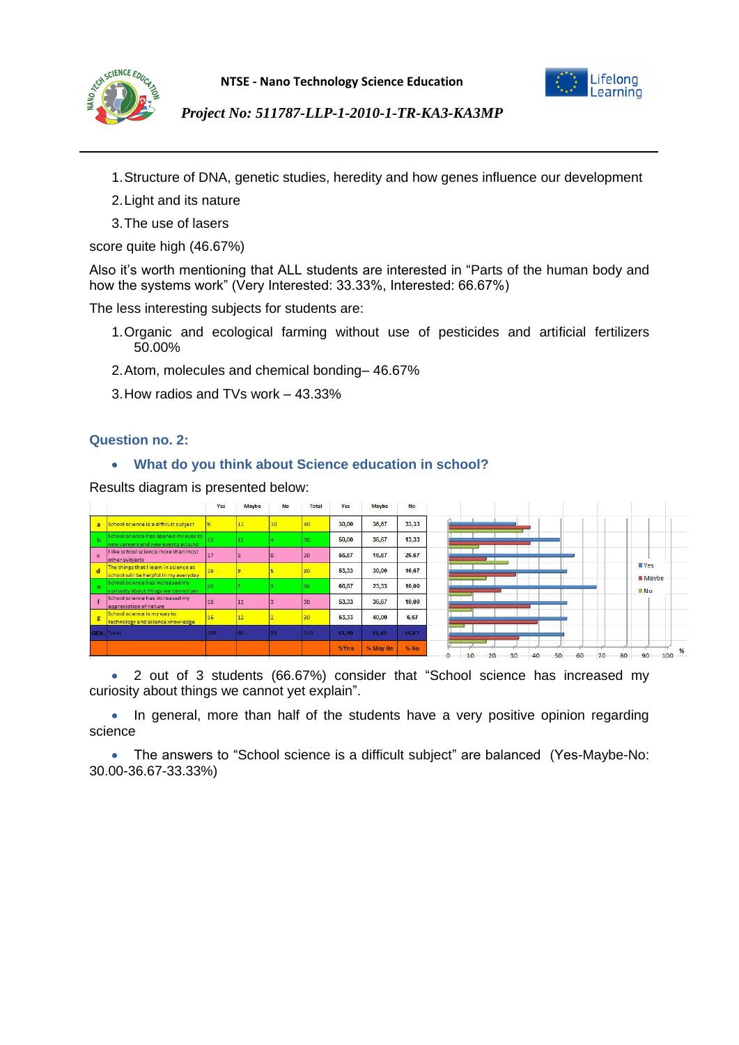



- 1.Structure of DNA, genetic studies, heredity and how genes influence our development
- 2.Light and its nature
- 3.The use of lasers

score quite high (46.67%)

Also it's worth mentioning that ALL students are interested in "Parts of the human body and how the systems work" (Very Interested: 33.33%, Interested: 66.67%)

The less interesting subjects for students are:

- 1.Organic and ecological farming without use of pesticides and artificial fertilizers 50.00%
- 2.Atom, molecules and chemical bonding– 46.67%
- 3.How radios and TVs work 43.33%

## **Question no. 2:**

## **What do you think about Science education in school?**

Results diagram is presented below:

|              |                                                                                | Yes | Maybe | No | Total | Yes   | Maybe    | No<br>523 |
|--------------|--------------------------------------------------------------------------------|-----|-------|----|-------|-------|----------|-----------|
| a            | School science is a difficult subject                                          |     |       |    |       | 30,00 | 36,67    | 33.33     |
| К            | School science has opened my eyes to<br>new careers and new events around      |     |       |    | 30.   | 50,00 | 36,67    | 13,33     |
| $\mathbf{c}$ | I like school science more than most<br>other subjects                         | 17  |       |    | 30    | 56,67 | 16,67    | 26,67     |
| ы            | The things that I learn in science at<br>school will be helpful in my everyday | 16  |       |    | 30    | 53,33 | 30,00    | 16,67     |
| p.           | School science has increased my<br>curiosity about things we cannot yet        |     |       |    | 30    | 66,67 | 23,33    | 10,00     |
|              | School science has increased my<br>appreciation of nature                      | 16  | 11    |    | 30    | 53.33 | 36,67    | 10.00     |
| g            | School science is my way to<br>technology and science knowledge                | 16  | 12    |    | 30    | 53,33 | 40,00    | 6,67      |
|              | <b>GEN.</b> Total                                                              | 109 | 55    |    | 210%  | 51,90 | 31,43    | 16,67     |
|              |                                                                                |     |       |    |       | %Yes  | % May Be | % No      |

 2 out of 3 students (66.67%) consider that "School science has increased my curiosity about things we cannot yet explain".

• In general, more than half of the students have a very positive opinion regarding science

 The answers to "School science is a difficult subject" are balanced (Yes-Maybe-No: 30.00-36.67-33.33%)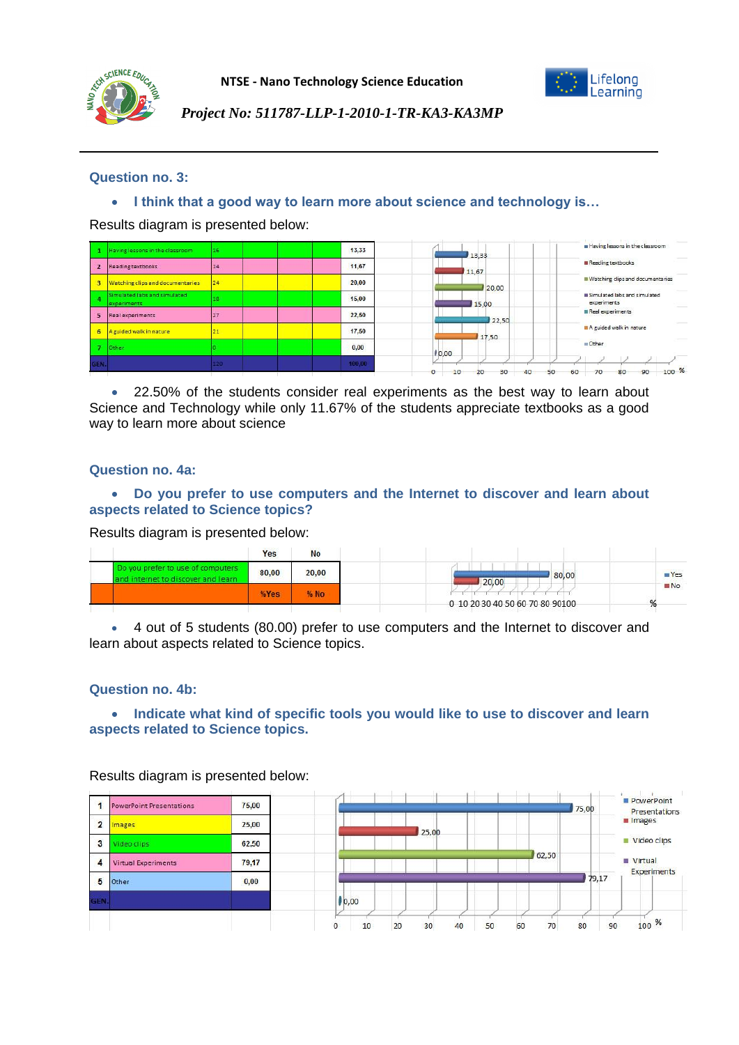



# **Question no. 3:**

**I think that a good way to learn more about science and technology is…**

Results diagram is presented below:

|                | Having lessons in the classroom             | 16  | 13,33  | 13,33           | Having lessons in the classroom                 |
|----------------|---------------------------------------------|-----|--------|-----------------|-------------------------------------------------|
| $\overline{2}$ | Reading textbooks                           | 14  | 11,67  | 11.67           | Reading textbooks                               |
| 3              | Watching clips and documentaries            | 24  | 20,00  | 20,00           | Watching clips and documentaries                |
|                | Simulated labs and simulated<br>experiments | 18  | 15,00  | 15,00           | Simulated labs and simulated<br>experiments     |
| 5              | Real experiments                            | 27  | 22.50  | 22,50           | Real experiments                                |
| 6              | A guided walk in nature                     | 21  | 17,50  | 17,50           | A guided walk in nature                         |
|                | Other                                       |     | 0,00   | $ 00,00\rangle$ | Other                                           |
| GEN.           |                                             | 120 | 100,00 | 30<br>LΟ        | 100 <sup>96</sup><br>60<br>90<br>70<br>80<br>50 |

 22.50% of the students consider real experiments as the best way to learn about Science and Technology while only 11.67% of the students appreciate textbooks as a good way to learn more about science

### **Question no. 4a:**

## **Do you prefer to use computers and the Internet to discover and learn about aspects related to Science topics?**

Results diagram is presented below:

|                                                                         | Yes   | No    |                                 |             |
|-------------------------------------------------------------------------|-------|-------|---------------------------------|-------------|
| Do you prefer to use of computers<br>and internet to discover and learn | 80,00 | 20,00 | 80,00<br>20,00                  | <b>NYes</b> |
|                                                                         | %Yes  | % No  |                                 | <b>MNO</b>  |
|                                                                         |       |       | 0 10 20 30 40 50 60 70 80 90100 | 70          |

 4 out of 5 students (80.00) prefer to use computers and the Internet to discover and learn about aspects related to Science topics.

#### **Question no. 4b:**

#### **Indicate what kind of specific tools you would like to use to discover and learn aspects related to Science topics.**



Results diagram is presented below: